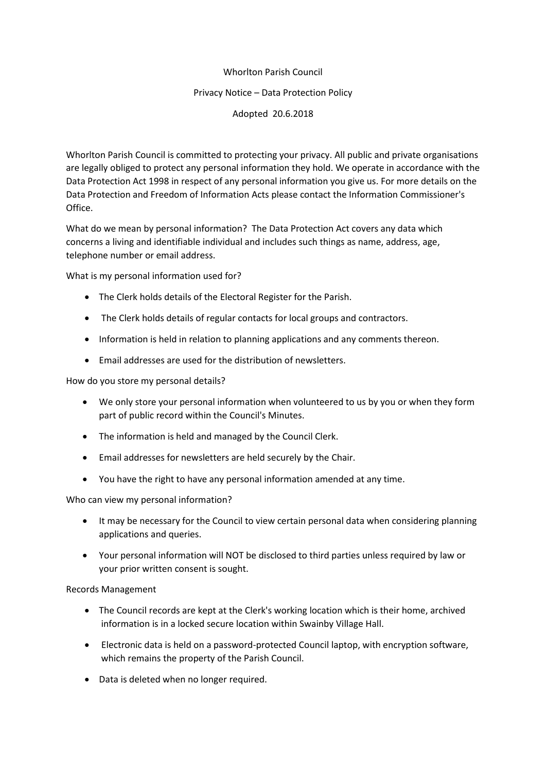## Whorlton Parish Council

## Privacy Notice – Data Protection Policy

Adopted 20.6.2018

Whorlton Parish Council is committed to protecting your privacy. All public and private organisations are legally obliged to protect any personal information they hold. We operate in accordance with the Data Protection Act 1998 in respect of any personal information you give us. For more details on the Data Protection and Freedom of Information Acts please contact the Information Commissioner's Office.

What do we mean by personal information? The Data Protection Act covers any data which concerns a living and identifiable individual and includes such things as name, address, age, telephone number or email address.

What is my personal information used for?

- The Clerk holds details of the Electoral Register for the Parish.
- The Clerk holds details of regular contacts for local groups and contractors.
- Information is held in relation to planning applications and any comments thereon.
- Email addresses are used for the distribution of newsletters.

How do you store my personal details?

- We only store your personal information when volunteered to us by you or when they form part of public record within the Council's Minutes.
- The information is held and managed by the Council Clerk.
- Email addresses for newsletters are held securely by the Chair.
- You have the right to have any personal information amended at any time.

Who can view my personal information?

- It may be necessary for the Council to view certain personal data when considering planning applications and queries.
- Your personal information will NOT be disclosed to third parties unless required by law or your prior written consent is sought.

## Records Management

- The Council records are kept at the Clerk's working location which is their home, archived information is in a locked secure location within Swainby Village Hall.
- Electronic data is held on a password-protected Council laptop, with encryption software, which remains the property of the Parish Council.
- Data is deleted when no longer required.